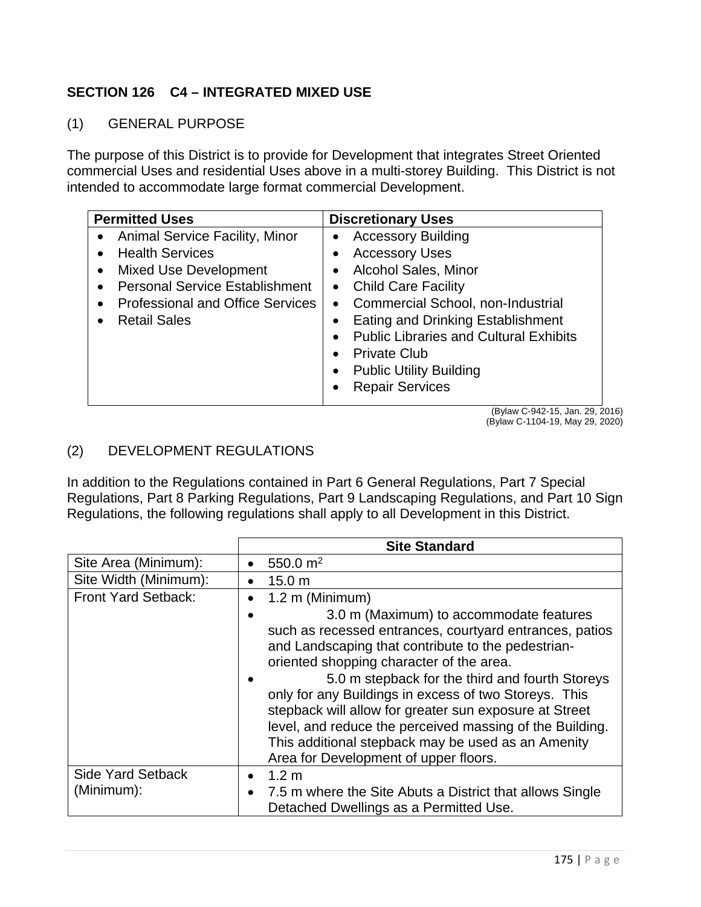## **SECTION 126 C4 – INTEGRATED MIXED USE**

(1) GENERAL PURPOSE

The purpose of this District is to provide for Development that integrates Street Oriented commercial Uses and residential Uses above in a multi-storey Building. This District is not intended to accommodate large format commercial Development.

| <b>Permitted Uses</b>                                                                                                                                                                                 | <b>Discretionary Uses</b>                                                                                                                                                                                                                                                                                                                                                                                                          |
|-------------------------------------------------------------------------------------------------------------------------------------------------------------------------------------------------------|------------------------------------------------------------------------------------------------------------------------------------------------------------------------------------------------------------------------------------------------------------------------------------------------------------------------------------------------------------------------------------------------------------------------------------|
| • Animal Service Facility, Minor<br><b>Health Services</b><br><b>Mixed Use Development</b><br><b>Personal Service Establishment</b><br><b>Professional and Office Services</b><br><b>Retail Sales</b> | <b>Accessory Building</b><br><b>Accessory Uses</b><br><b>Alcohol Sales, Minor</b><br>$\bullet$<br>• Child Care Facility<br>Commercial School, non-Industrial<br>$\bullet$<br><b>Eating and Drinking Establishment</b><br>$\bullet$<br><b>Public Libraries and Cultural Exhibits</b><br><b>Private Club</b><br><b>Public Utility Building</b><br>$\bullet$<br><b>Repair Services</b><br>$\bullet$<br>$(Dy q)$ $(0.4245)$ $(1.0000)$ |

 (Bylaw C-942-15, Jan. 29, 2016) (Bylaw C-1104-19, May 29, 2020)

## (2) DEVELOPMENT REGULATIONS

In addition to the Regulations contained in Part 6 General Regulations, Part 7 Special Regulations, Part 8 Parking Regulations, Part 9 Landscaping Regulations, and Part 10 Sign Regulations, the following regulations shall apply to all Development in this District.

|                            | <b>Site Standard</b>                                                                                                                                                                                                                                                                                                                                                                                                                                                                                                                  |
|----------------------------|---------------------------------------------------------------------------------------------------------------------------------------------------------------------------------------------------------------------------------------------------------------------------------------------------------------------------------------------------------------------------------------------------------------------------------------------------------------------------------------------------------------------------------------|
| Site Area (Minimum):       | 550.0 $m2$                                                                                                                                                                                                                                                                                                                                                                                                                                                                                                                            |
| Site Width (Minimum):      | 15.0 <sub>m</sub>                                                                                                                                                                                                                                                                                                                                                                                                                                                                                                                     |
| <b>Front Yard Setback:</b> | 1.2 m (Minimum)                                                                                                                                                                                                                                                                                                                                                                                                                                                                                                                       |
|                            | 3.0 m (Maximum) to accommodate features<br>such as recessed entrances, courtyard entrances, patios<br>and Landscaping that contribute to the pedestrian-<br>oriented shopping character of the area.<br>5.0 m stepback for the third and fourth Storeys<br>only for any Buildings in excess of two Storeys. This<br>stepback will allow for greater sun exposure at Street<br>level, and reduce the perceived massing of the Building.<br>This additional stepback may be used as an Amenity<br>Area for Development of upper floors. |
| <b>Side Yard Setback</b>   | 1.2 <sub>m</sub><br>$\bullet$                                                                                                                                                                                                                                                                                                                                                                                                                                                                                                         |
| (Minimum):                 | 7.5 m where the Site Abuts a District that allows Single<br>Detached Dwellings as a Permitted Use.                                                                                                                                                                                                                                                                                                                                                                                                                                    |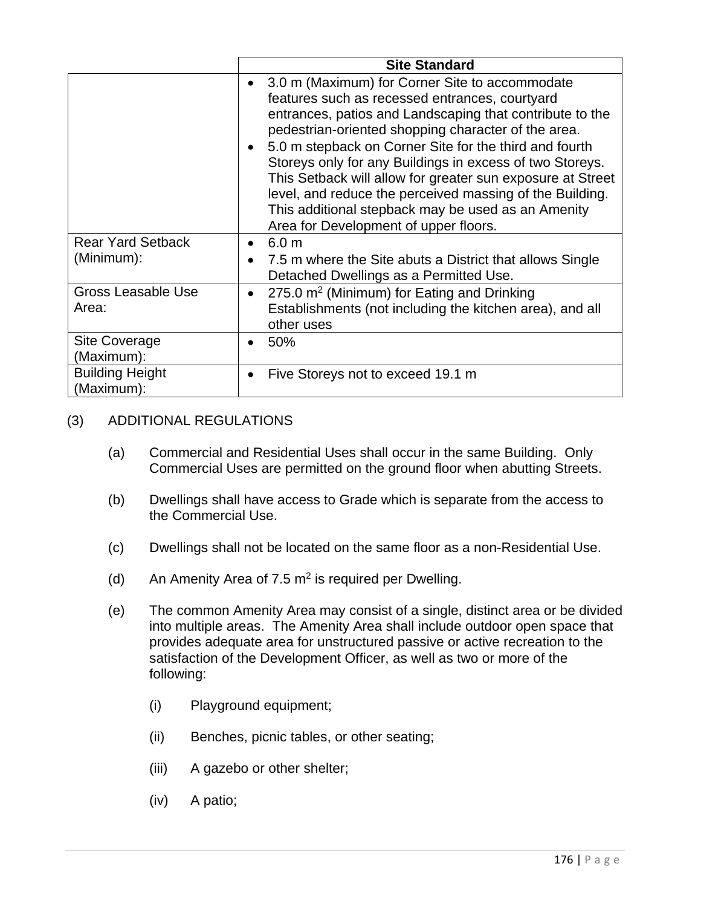|                                        | <b>Site Standard</b>                                                                                                                                                                                                                                                                                                                                                                                                                                                                                                                                               |
|----------------------------------------|--------------------------------------------------------------------------------------------------------------------------------------------------------------------------------------------------------------------------------------------------------------------------------------------------------------------------------------------------------------------------------------------------------------------------------------------------------------------------------------------------------------------------------------------------------------------|
|                                        | 3.0 m (Maximum) for Corner Site to accommodate<br>features such as recessed entrances, courtyard<br>entrances, patios and Landscaping that contribute to the<br>pedestrian-oriented shopping character of the area.<br>5.0 m stepback on Corner Site for the third and fourth<br>Storeys only for any Buildings in excess of two Storeys.<br>This Setback will allow for greater sun exposure at Street<br>level, and reduce the perceived massing of the Building.<br>This additional stepback may be used as an Amenity<br>Area for Development of upper floors. |
| <b>Rear Yard Setback</b><br>(Minimum): | 6.0 <sub>m</sub><br>7.5 m where the Site abuts a District that allows Single<br>Detached Dwellings as a Permitted Use.                                                                                                                                                                                                                                                                                                                                                                                                                                             |
| <b>Gross Leasable Use</b><br>Area:     | 275.0 m <sup>2</sup> (Minimum) for Eating and Drinking<br>Establishments (not including the kitchen area), and all<br>other uses                                                                                                                                                                                                                                                                                                                                                                                                                                   |
| Site Coverage<br>(Maximum):            | 50%                                                                                                                                                                                                                                                                                                                                                                                                                                                                                                                                                                |
| <b>Building Height</b><br>(Maximum):   | Five Storeys not to exceed 19.1 m                                                                                                                                                                                                                                                                                                                                                                                                                                                                                                                                  |

## (3) ADDITIONAL REGULATIONS

- (a) Commercial and Residential Uses shall occur in the same Building. Only Commercial Uses are permitted on the ground floor when abutting Streets.
- (b) Dwellings shall have access to Grade which is separate from the access to the Commercial Use.
- (c) Dwellings shall not be located on the same floor as a non-Residential Use.
- (d) An Amenity Area of 7.5  $m^2$  is required per Dwelling.
- (e) The common Amenity Area may consist of a single, distinct area or be divided into multiple areas. The Amenity Area shall include outdoor open space that provides adequate area for unstructured passive or active recreation to the satisfaction of the Development Officer, as well as two or more of the following:
	- (i) Playground equipment;
	- (ii) Benches, picnic tables, or other seating;
	- (iii) A gazebo or other shelter;
	- (iv) A patio;